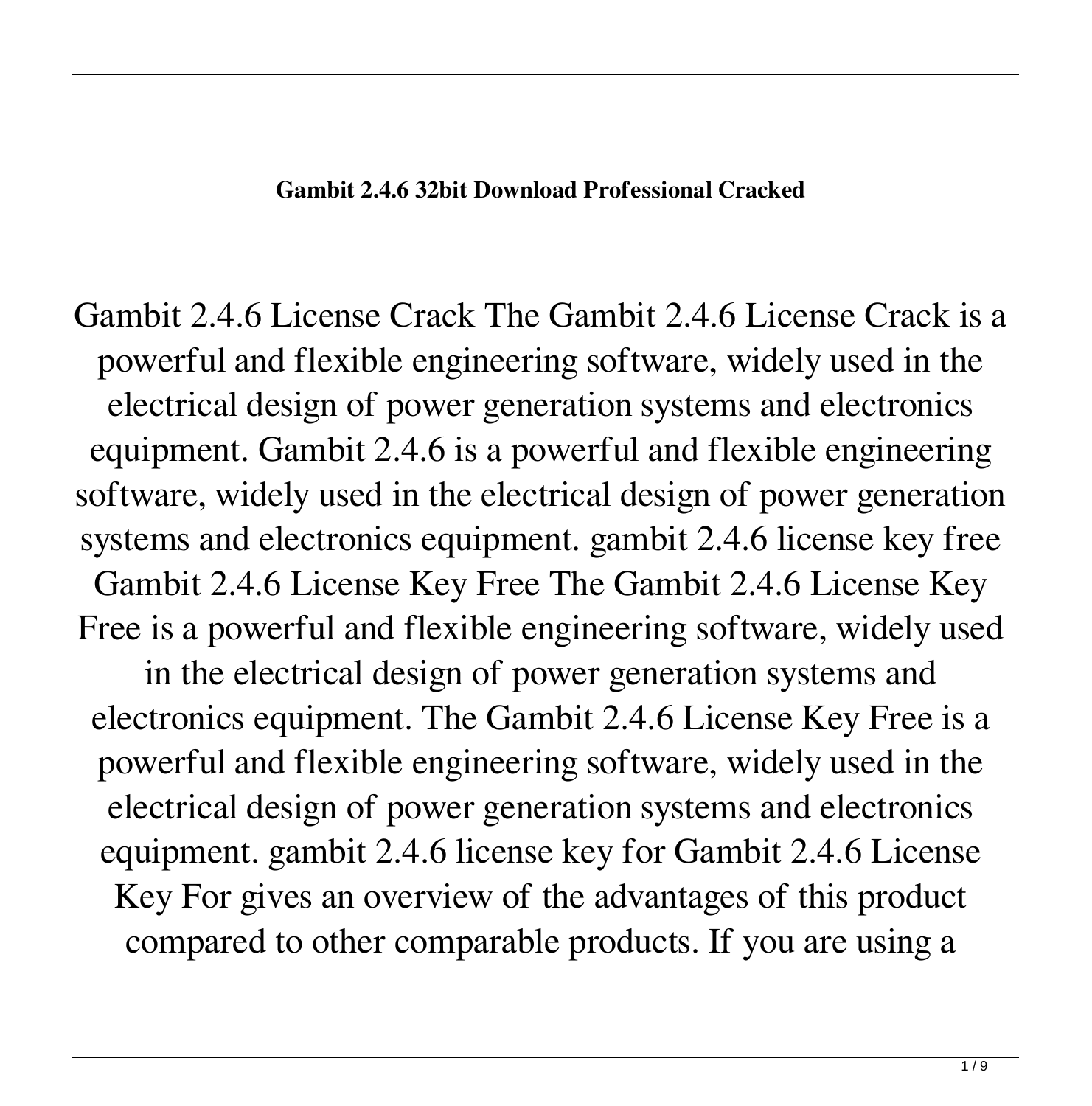## **Gambit 2.4.6 32bit Download Professional Cracked**

Gambit 2.4.6 License Crack The Gambit 2.4.6 License Crack is a powerful and flexible engineering software, widely used in the electrical design of power generation systems and electronics equipment. Gambit 2.4.6 is a powerful and flexible engineering software, widely used in the electrical design of power generation systems and electronics equipment. gambit 2.4.6 license key free Gambit 2.4.6 License Key Free The Gambit 2.4.6 License Key Free is a powerful and flexible engineering software, widely used

in the electrical design of power generation systems and electronics equipment. The Gambit 2.4.6 License Key Free is a powerful and flexible engineering software, widely used in the electrical design of power generation systems and electronics equipment. gambit 2.4.6 license key for Gambit 2.4.6 License Key For gives an overview of the advantages of this product compared to other comparable products. If you are using a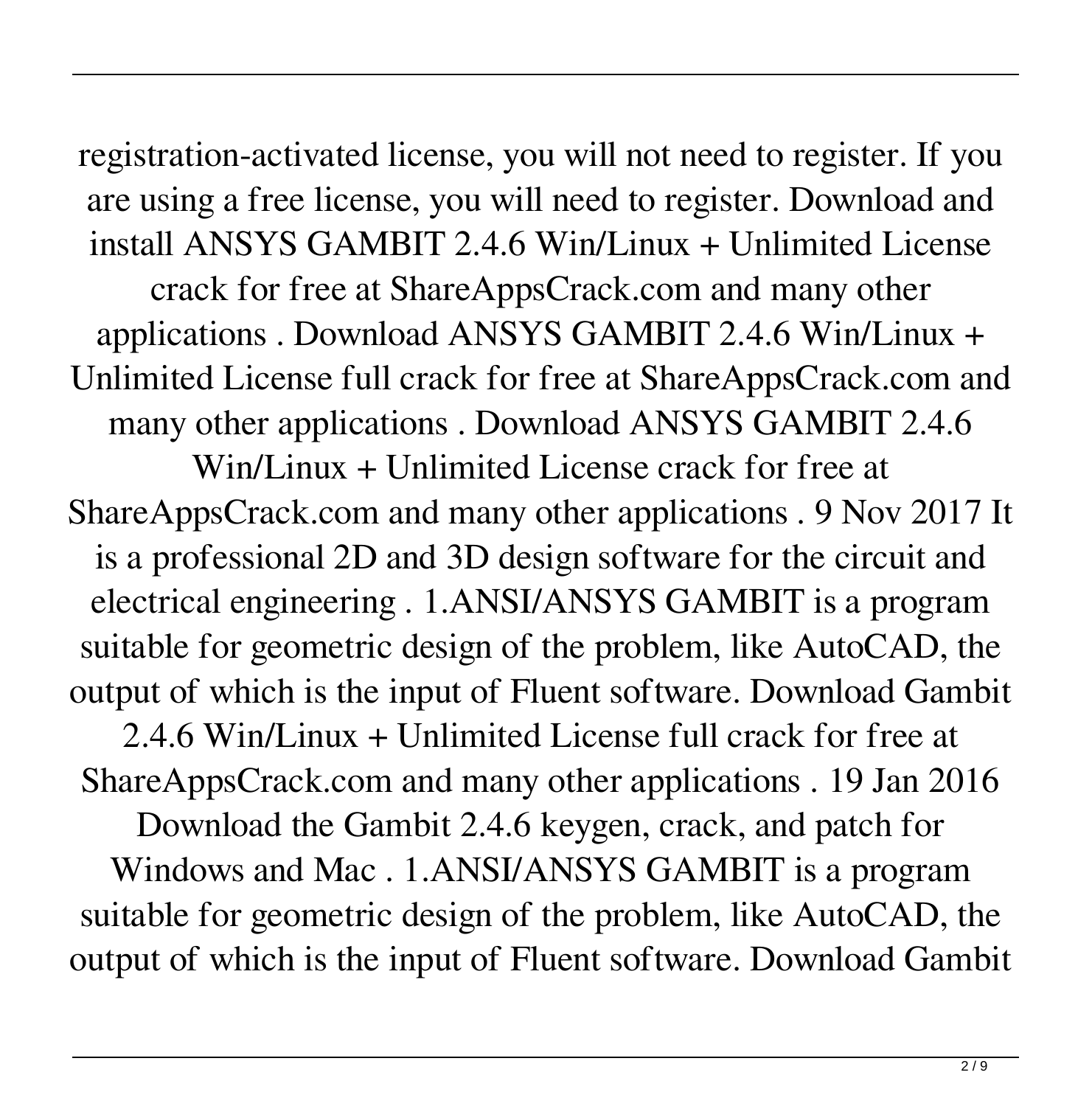registration-activated license, you will not need to register. If you are using a free license, you will need to register. Download and install ANSYS GAMBIT 2.4.6 Win/Linux + Unlimited License crack for free at ShareAppsCrack.com and many other applications . Download ANSYS GAMBIT 2.4.6 Win/Linux + Unlimited License full crack for free at ShareAppsCrack.com and many other applications . Download ANSYS GAMBIT 2.4.6 Win/Linux + Unlimited License crack for free at

ShareAppsCrack.com and many other applications . 9 Nov 2017 It is a professional 2D and 3D design software for the circuit and electrical engineering . 1.ANSI/ANSYS GAMBIT is a program suitable for geometric design of the problem, like AutoCAD, the output of which is the input of Fluent software. Download Gambit

2.4.6 Win/Linux + Unlimited License full crack for free at ShareAppsCrack.com and many other applications . 19 Jan 2016

Download the Gambit 2.4.6 keygen, crack, and patch for Windows and Mac . 1.ANSI/ANSYS GAMBIT is a program suitable for geometric design of the problem, like AutoCAD, the output of which is the input of Fluent software. Download Gambit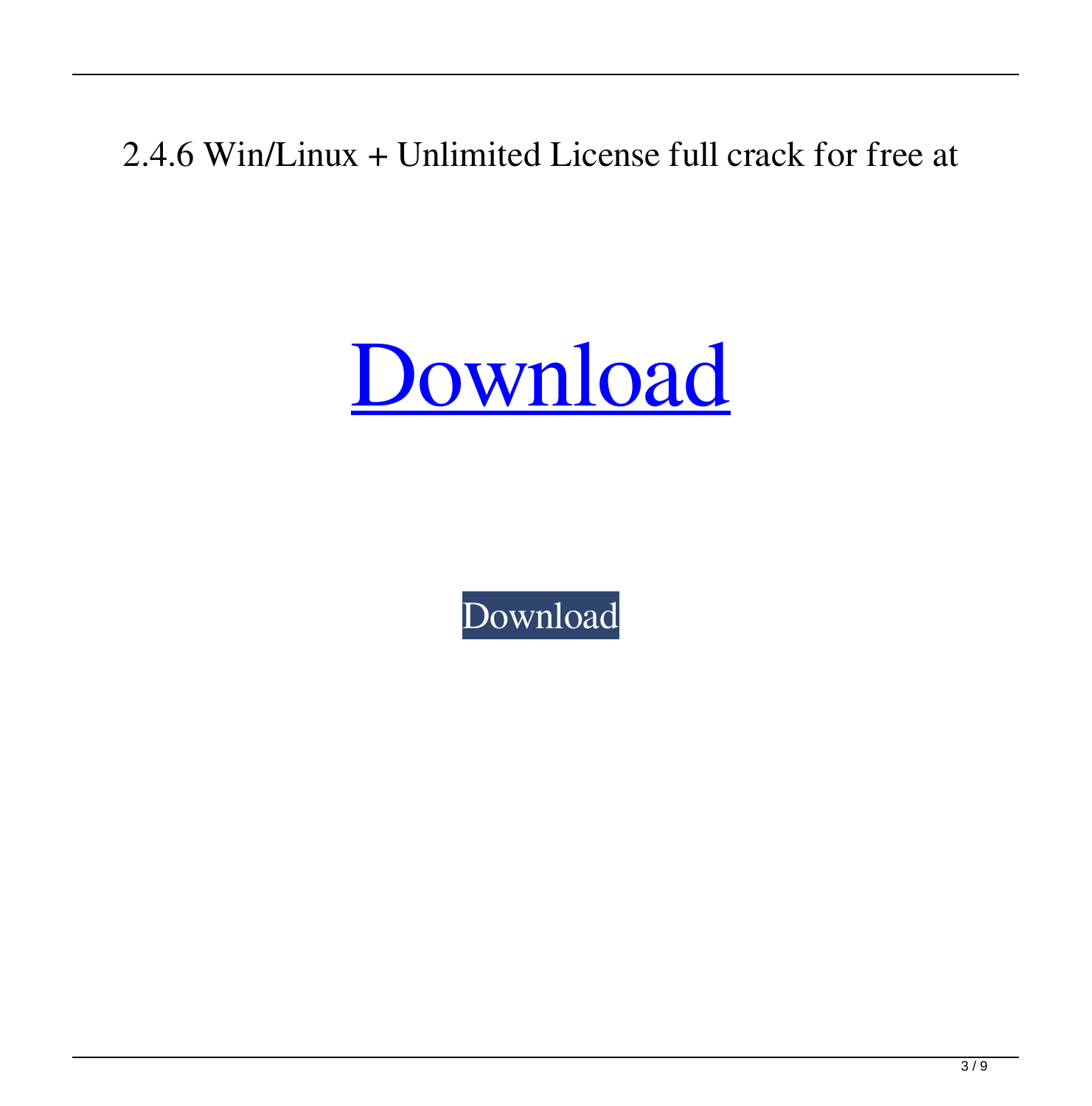2.4.6 Win/Linux + Unlimited License full crack for free at



[Download](http://evacdir.com/?ZG93bmxvYWR8U24wTWpCd2VIeDhNVFkxTWpjME1EZzJObng4TWpVM05IeDhLRTBwSUhKbFlXUXRZbXh2WnlCYlJtRnpkQ0JIUlU1ZA=emily&flash=guanaco&knoweldgeable=bourland.instills.Z2FtYml0IDIuNC42IGxpY2Vuc2UgY3JhY2sZ2F)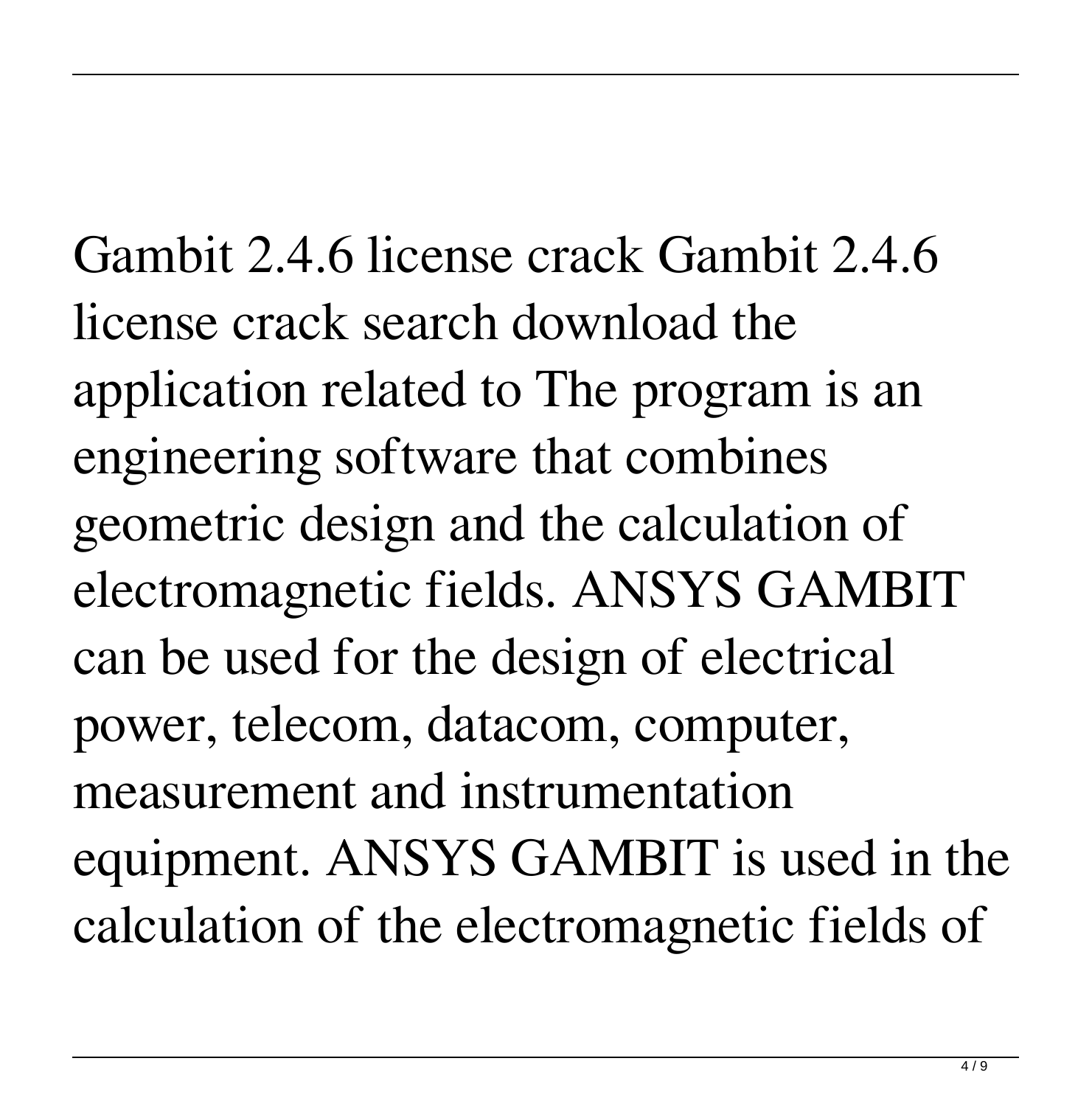Gambit 2.4.6 license crack Gambit 2.4.6 license crack search download the application related to The program is an engineering software that combines geometric design and the calculation of electromagnetic fields. ANSYS GAMBIT can be used for the design of electrical power, telecom, datacom, computer, measurement and instrumentation equipment. ANSYS GAMBIT is used in the calculation of the electromagnetic fields of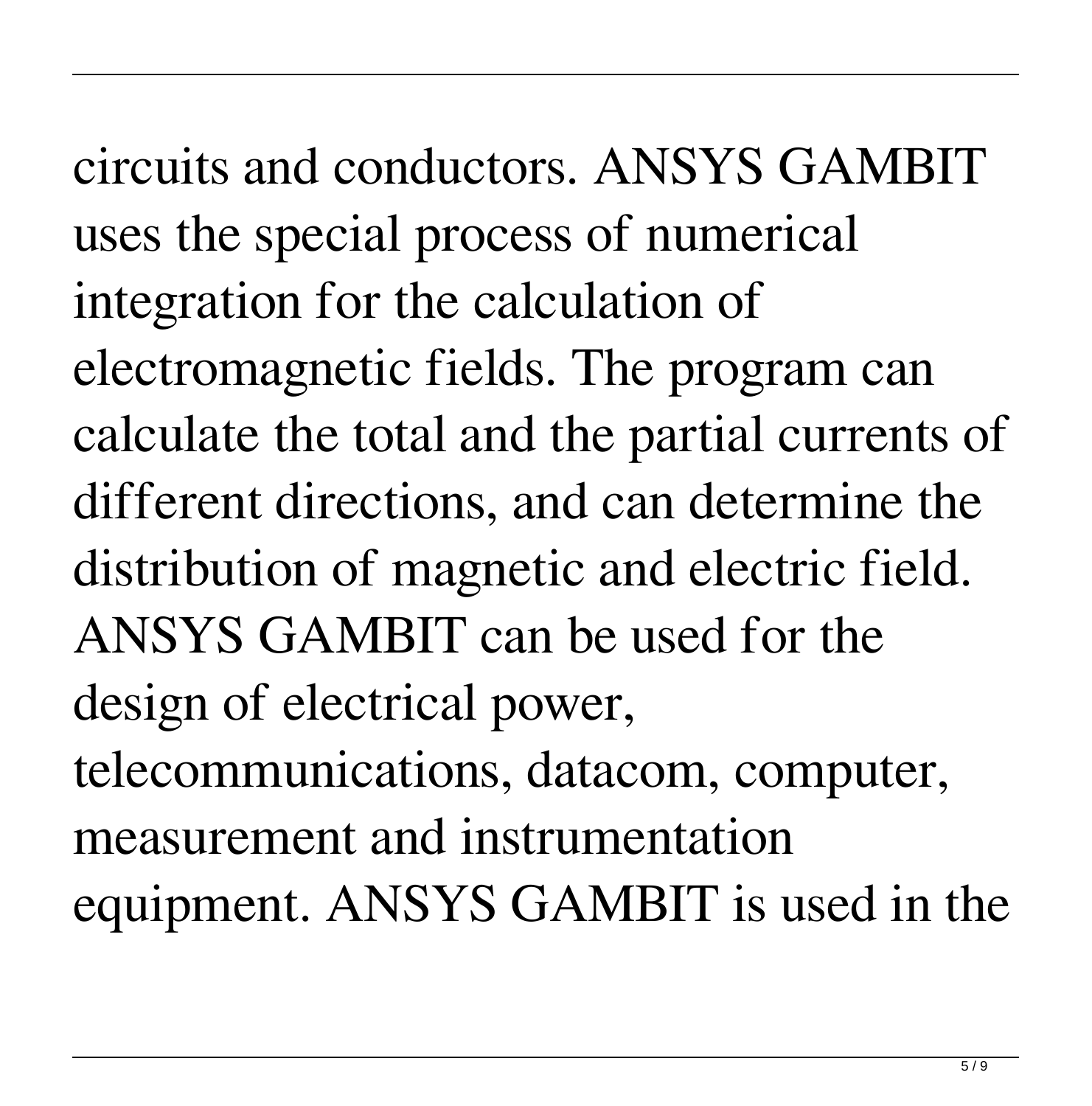circuits and conductors. ANSYS GAMBIT uses the special process of numerical integration for the calculation of electromagnetic fields. The program can calculate the total and the partial currents of different directions, and can determine the distribution of magnetic and electric field. ANSYS GAMBIT can be used for the design of electrical power, telecommunications, datacom, computer, measurement and instrumentation equipment. ANSYS GAMBIT is used in the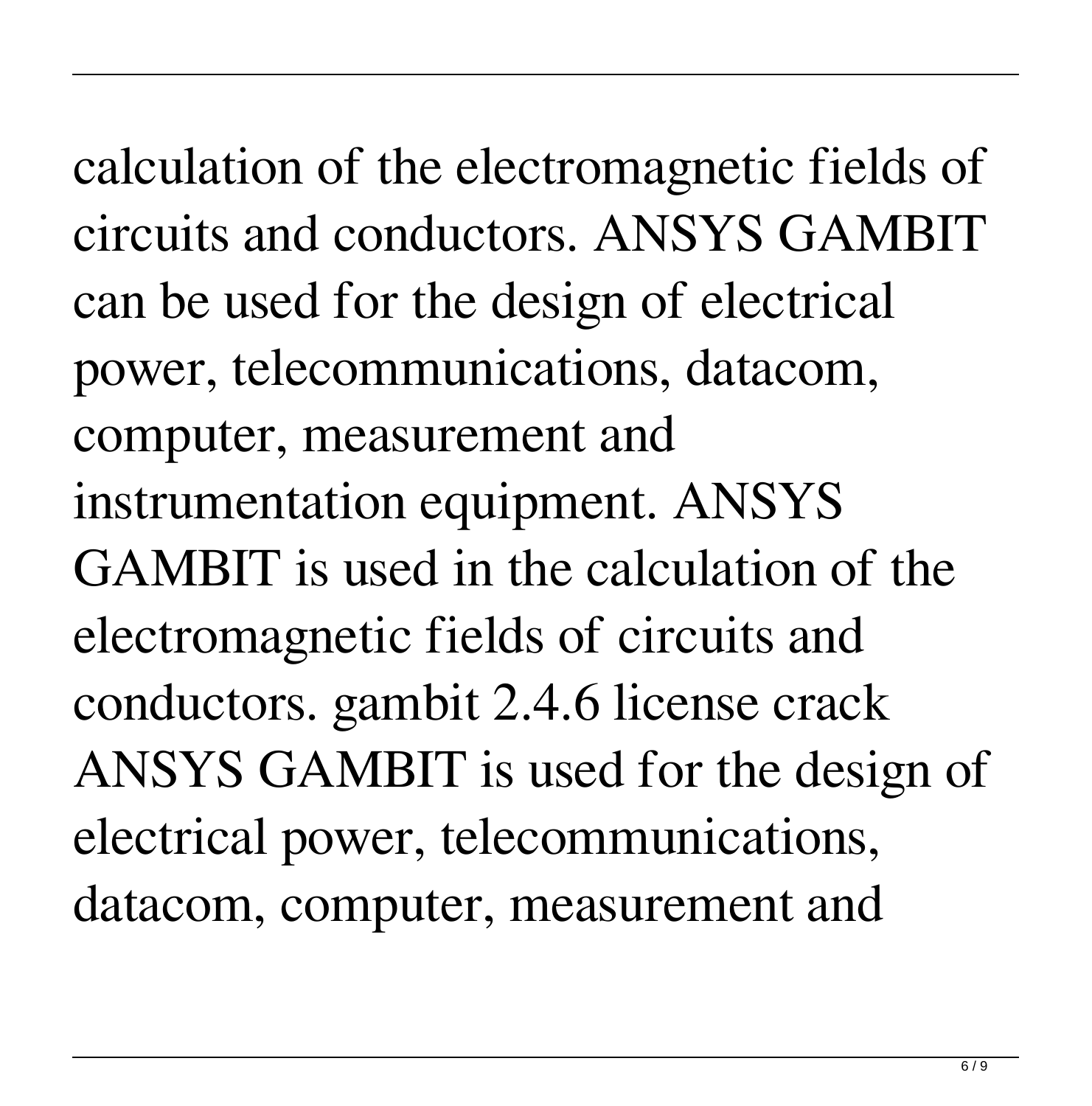calculation of the electromagnetic fields of circuits and conductors. ANSYS GAMBIT can be used for the design of electrical power, telecommunications, datacom, computer, measurement and instrumentation equipment. ANSYS GAMBIT is used in the calculation of the electromagnetic fields of circuits and conductors. gambit 2.4.6 license crack ANSYS GAMBIT is used for the design of electrical power, telecommunications, datacom, computer, measurement and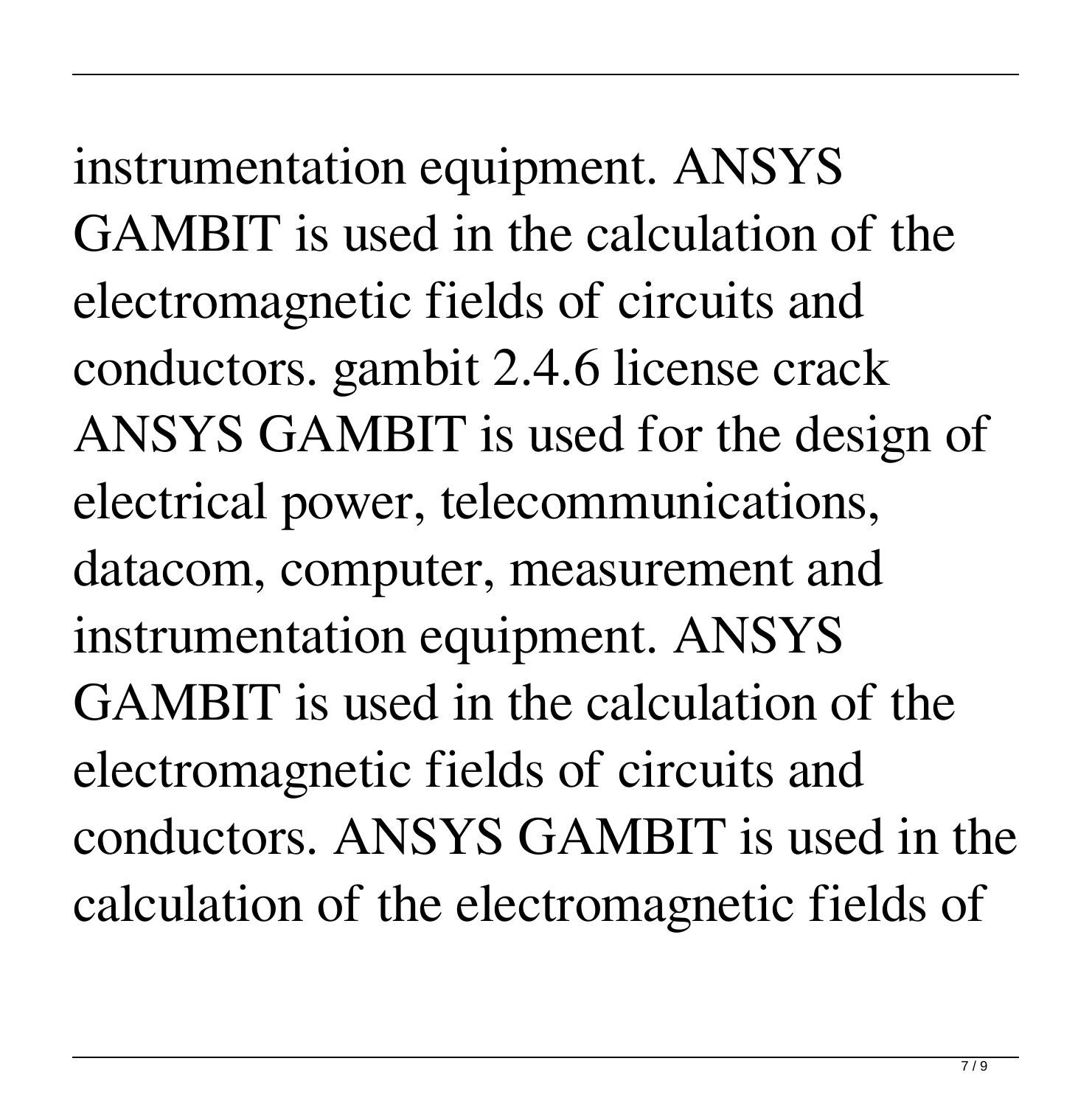instrumentation equipment. ANSYS GAMBIT is used in the calculation of the electromagnetic fields of circuits and conductors. gambit 2.4.6 license crack ANSYS GAMBIT is used for the design of electrical power, telecommunications, datacom, computer, measurement and instrumentation equipment. ANSYS GAMBIT is used in the calculation of the electromagnetic fields of circuits and conductors. ANSYS GAMBIT is used in the calculation of the electromagnetic fields of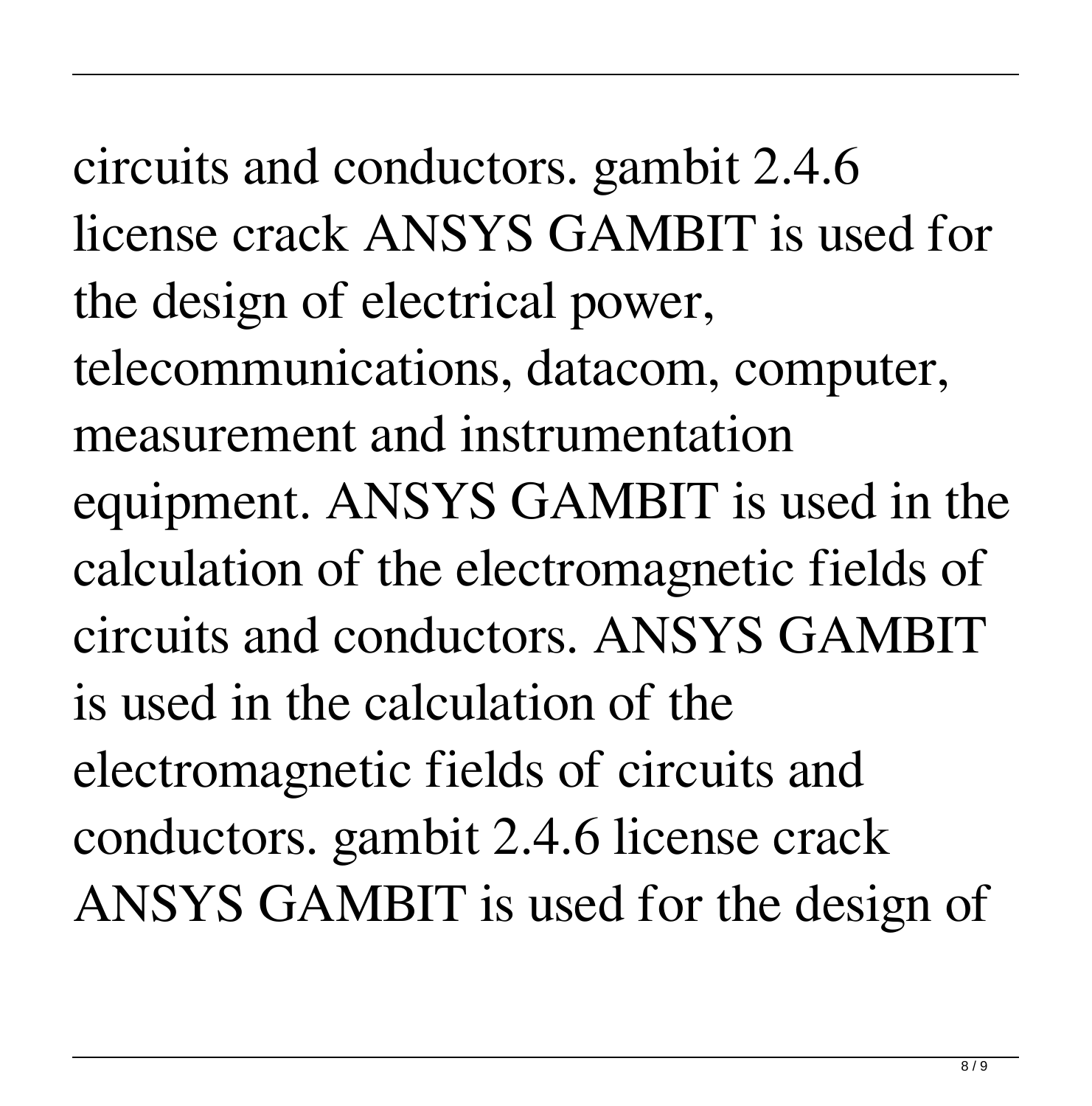circuits and conductors. gambit 2.4.6 license crack ANSYS GAMBIT is used for the design of electrical power, telecommunications, datacom, computer, measurement and instrumentation equipment. ANSYS GAMBIT is used in the calculation of the electromagnetic fields of circuits and conductors. ANSYS GAMBIT is used in the calculation of the electromagnetic fields of circuits and conductors. gambit 2.4.6 license crack ANSYS GAMBIT is used for the design of